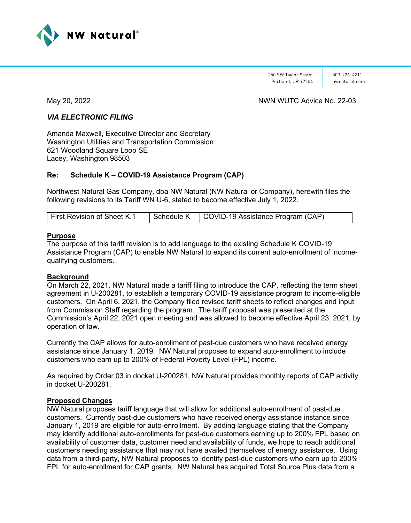

250 SW Taylor Street Portland, OR 97204

503-226-4211 nwnatural.com

May 20, 2022 **May 20, 2022** May 20, 2022 May 20, 2022 May 20, 2022 May 20, 2022 May 20, 2022 May 20, 2022 May 20

## *VIA ELECTRONIC FILING*

Amanda Maxwell, Executive Director and Secretary Washington Utilities and Transportation Commission 621 Woodland Square Loop SE Lacey, Washington 98503

## **Re: Schedule K – COVID-19 Assistance Program (CAP)**

Northwest Natural Gas Company, dba NW Natural (NW Natural or Company), herewith files the following revisions to its Tariff WN U-6, stated to become effective July 1, 2022.

| First Revision of Sheet K.1 | Schedule K   COVID-19 Assistance Program (CAP) |
|-----------------------------|------------------------------------------------|

## **Purpose**

The purpose of this tariff revision is to add language to the existing Schedule K COVID-19 Assistance Program (CAP) to enable NW Natural to expand its current auto-enrollment of incomequalifying customers.

## **Background**

On March 22, 2021, NW Natural made a tariff filing to introduce the CAP, reflecting the term sheet agreement in U-200281, to establish a temporary COVID-19 assistance program to income-eligible customers. On April 6, 2021, the Company filed revised tariff sheets to reflect changes and input from Commission Staff regarding the program. The tariff proposal was presented at the Commission's April 22, 2021 open meeting and was allowed to become effective April 23, 2021, by operation of law.

Currently the CAP allows for auto-enrollment of past-due customers who have received energy assistance since January 1, 2019. NW Natural proposes to expand auto-enrollment to include customers who earn up to 200% of Federal Poverty Level (FPL) income.

As required by Order 03 in docket U-200281, NW Natural provides monthly reports of CAP activity in docket U-200281.

## **Proposed Changes**

NW Natural proposes tariff language that will allow for additional auto-enrollment of past-due customers. Currently past-due customers who have received energy assistance instance since January 1, 2019 are eligible for auto-enrollment. By adding language stating that the Company may identify additional auto-enrollments for past-due customers earning up to 200% FPL based on availability of customer data, customer need and availability of funds, we hope to reach additional customers needing assistance that may not have availed themselves of energy assistance. Using data from a third-party, NW Natural proposes to identify past-due customers who earn up to 200% FPL for auto-enrollment for CAP grants. NW Natural has acquired Total Source Plus data from a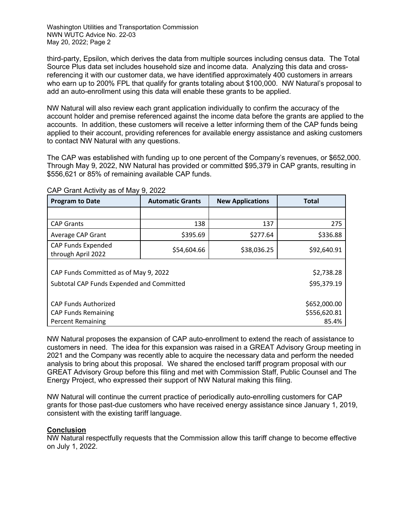Washington Utilities and Transportation Commission NWN WUTC Advice No. 22-03 May 20, 2022; Page 2

third-party, Epsilon, which derives the data from multiple sources including census data. The Total Source Plus data set includes household size and income data. Analyzing this data and crossreferencing it with our customer data, we have identified approximately 400 customers in arrears who earn up to 200% FPL that qualify for grants totaling about \$100,000. NW Natural's proposal to add an auto-enrollment using this data will enable these grants to be applied.

NW Natural will also review each grant application individually to confirm the accuracy of the account holder and premise referenced against the income data before the grants are applied to the accounts. In addition, these customers will receive a letter informing them of the CAP funds being applied to their account, providing references for available energy assistance and asking customers to contact NW Natural with any questions.

The CAP was established with funding up to one percent of the Company's revenues, or \$652,000. Through May 9, 2022, NW Natural has provided or committed \$95,379 in CAP grants, resulting in \$556,621 or 85% of remaining available CAP funds.

| <b>Program to Date</b>                    | <b>Automatic Grants</b> | <b>New Applications</b> | <b>Total</b> |  |  |
|-------------------------------------------|-------------------------|-------------------------|--------------|--|--|
|                                           |                         |                         |              |  |  |
| <b>CAP Grants</b>                         | 138                     | 137                     | 275          |  |  |
| Average CAP Grant                         | \$395.69                | \$277.64                | \$336.88     |  |  |
| CAP Funds Expended<br>through April 2022  | \$54,604.66             | \$38,036.25             | \$92,640.91  |  |  |
|                                           |                         |                         |              |  |  |
| CAP Funds Committed as of May 9, 2022     | \$2,738.28              |                         |              |  |  |
| Subtotal CAP Funds Expended and Committed | \$95,379.19             |                         |              |  |  |
|                                           |                         |                         |              |  |  |
| <b>CAP Funds Authorized</b>               | \$652,000.00            |                         |              |  |  |
| <b>CAP Funds Remaining</b>                | \$556,620.81            |                         |              |  |  |
| <b>Percent Remaining</b>                  | 85.4%                   |                         |              |  |  |

CAP Grant Activity as of May 9, 2022

NW Natural proposes the expansion of CAP auto-enrollment to extend the reach of assistance to customers in need. The idea for this expansion was raised in a GREAT Advisory Group meeting in 2021 and the Company was recently able to acquire the necessary data and perform the needed analysis to bring about this proposal. We shared the enclosed tariff program proposal with our GREAT Advisory Group before this filing and met with Commission Staff, Public Counsel and The Energy Project, who expressed their support of NW Natural making this filing.

NW Natural will continue the current practice of periodically auto-enrolling customers for CAP grants for those past-due customers who have received energy assistance since January 1, 2019, consistent with the existing tariff language.

## **Conclusion**

NW Natural respectfully requests that the Commission allow this tariff change to become effective on July 1, 2022.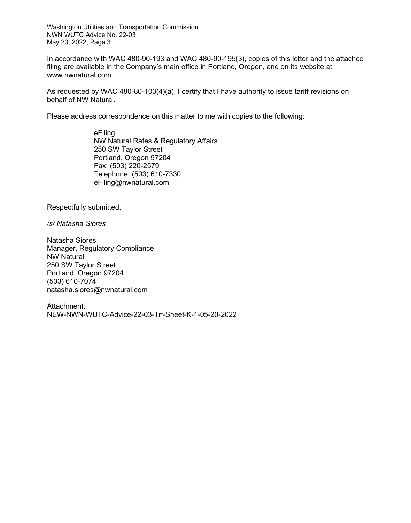Washington Utilities and Transportation Commission NWN WUTC Advice No. 22-03 May 20, 2022; Page 3

In accordance with WAC 480-90-193 and WAC 480-90-195(3), copies of this letter and the attached filing are available in the Company's main office in Portland, Oregon, and on its website at www.nwnatural.com.

As requested by WAC 480-80-103(4)(a), I certify that I have authority to issue tariff revisions on behalf of NW Natural.

Please address correspondence on this matter to me with copies to the following:

eFiling NW Natural Rates & Regulatory Affairs 250 SW Taylor Street Portland, Oregon 97204 Fax: (503) 220-2579 Telephone: (503) 610-7330 eFiling@nwnatural.com

Respectfully submitted,

*/s/ Natasha Siores*

Natasha Siores Manager, Regulatory Compliance NW Natural 250 SW Taylor Street Portland, Oregon 97204 (503) 610-7074 natasha.siores@nwnatural.com

Attachment: NEW-NWN-WUTC-Advice-22-03-Trf-Sheet-K-1-05-20-2022